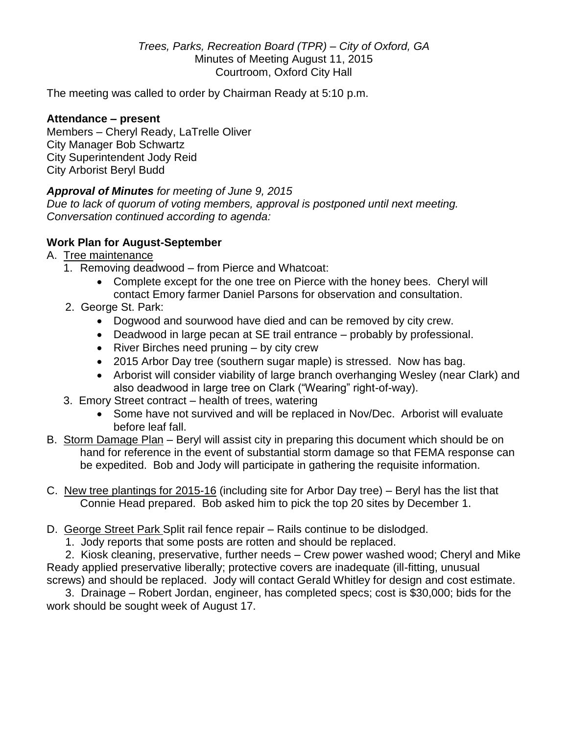*Trees, Parks, Recreation Board (TPR) – City of Oxford, GA* Minutes of Meeting August 11, 2015 Courtroom, Oxford City Hall

The meeting was called to order by Chairman Ready at 5:10 p.m.

## **Attendance – present**

Members – Cheryl Ready, LaTrelle Oliver City Manager Bob Schwartz City Superintendent Jody Reid City Arborist Beryl Budd

## *Approval of Minutes for meeting of June 9, 2015*

*Due to lack of quorum of voting members, approval is postponed until next meeting. Conversation continued according to agenda:*

## **Work Plan for August-September**

## A. Tree maintenance

- 1. Removing deadwood from Pierce and Whatcoat:
	- Complete except for the one tree on Pierce with the honey bees. Cheryl will contact Emory farmer Daniel Parsons for observation and consultation.
- 2. George St. Park:
	- Dogwood and sourwood have died and can be removed by city crew.
	- Deadwood in large pecan at SE trail entrance probably by professional.
	- River Birches need pruning by city crew
	- 2015 Arbor Day tree (southern sugar maple) is stressed. Now has bag.
	- Arborist will consider viability of large branch overhanging Wesley (near Clark) and also deadwood in large tree on Clark ("Wearing" right-of-way).
- 3. Emory Street contract health of trees, watering
	- Some have not survived and will be replaced in Nov/Dec. Arborist will evaluate before leaf fall.
- B. Storm Damage Plan Beryl will assist city in preparing this document which should be on hand for reference in the event of substantial storm damage so that FEMA response can be expedited. Bob and Jody will participate in gathering the requisite information.
- C. New tree plantings for 2015-16 (including site for Arbor Day tree) Beryl has the list that Connie Head prepared. Bob asked him to pick the top 20 sites by December 1.
- D. George Street Park Split rail fence repair Rails continue to be dislodged.
	- 1. Jody reports that some posts are rotten and should be replaced.

 2. Kiosk cleaning, preservative, further needs – Crew power washed wood; Cheryl and Mike Ready applied preservative liberally; protective covers are inadequate (ill-fitting, unusual screws) and should be replaced. Jody will contact Gerald Whitley for design and cost estimate.

 3. Drainage – Robert Jordan, engineer, has completed specs; cost is \$30,000; bids for the work should be sought week of August 17.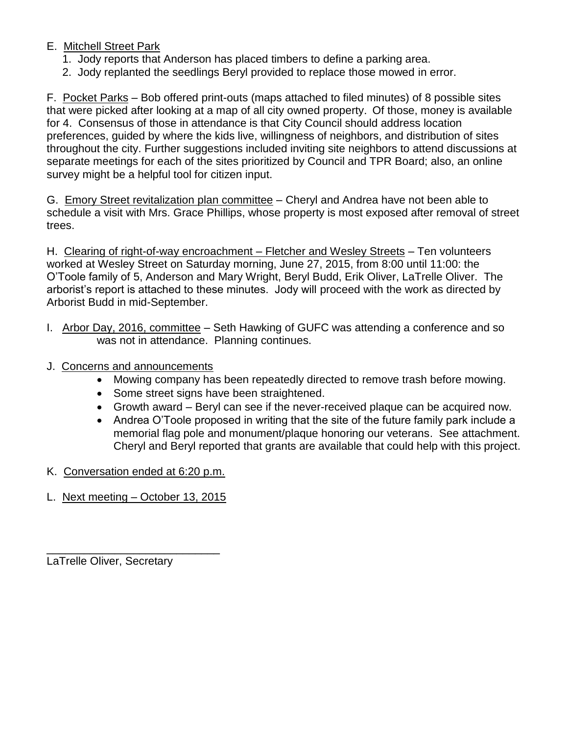# E. Mitchell Street Park

- 1. Jody reports that Anderson has placed timbers to define a parking area.
- 2. Jody replanted the seedlings Beryl provided to replace those mowed in error.

F. Pocket Parks – Bob offered print-outs (maps attached to filed minutes) of 8 possible sites that were picked after looking at a map of all city owned property. Of those, money is available for 4. Consensus of those in attendance is that City Council should address location preferences, guided by where the kids live, willingness of neighbors, and distribution of sites throughout the city. Further suggestions included inviting site neighbors to attend discussions at separate meetings for each of the sites prioritized by Council and TPR Board; also, an online survey might be a helpful tool for citizen input.

G. Emory Street revitalization plan committee - Cheryl and Andrea have not been able to schedule a visit with Mrs. Grace Phillips, whose property is most exposed after removal of street trees.

H. Clearing of right-of-way encroachment – Fletcher and Wesley Streets – Ten volunteers worked at Wesley Street on Saturday morning, June 27, 2015, from 8:00 until 11:00: the O'Toole family of 5, Anderson and Mary Wright, Beryl Budd, Erik Oliver, LaTrelle Oliver. The arborist's report is attached to these minutes. Jody will proceed with the work as directed by Arborist Budd in mid-September.

- I. Arbor Day, 2016, committee Seth Hawking of GUFC was attending a conference and so was not in attendance. Planning continues.
- J. Concerns and announcements
	- Mowing company has been repeatedly directed to remove trash before mowing.
	- Some street signs have been straightened.
	- Growth award Beryl can see if the never-received plaque can be acquired now.
	- Andrea O'Toole proposed in writing that the site of the future family park include a memorial flag pole and monument/plaque honoring our veterans. See attachment. Cheryl and Beryl reported that grants are available that could help with this project.
- K. Conversation ended at 6:20 p.m.
- L. Next meeting October 13, 2015

\_\_\_\_\_\_\_\_\_\_\_\_\_\_\_\_\_\_\_\_\_\_\_\_\_\_\_\_

LaTrelle Oliver, Secretary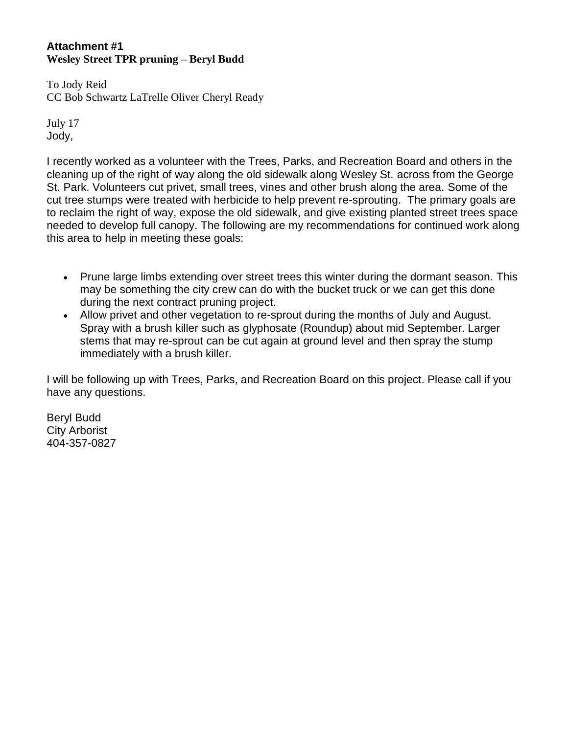#### **Attachment #1 Wesley Street TPR pruning – Beryl Budd**

To Jody Reid CC Bob Schwartz LaTrelle Oliver Cheryl Ready

July 17 Jody,

I recently worked as a volunteer with the Trees, Parks, and Recreation Board and others in the cleaning up of the right of way along the old sidewalk along Wesley St. across from the George St. Park. Volunteers cut privet, small trees, vines and other brush along the area. Some of the cut tree stumps were treated with herbicide to help prevent re-sprouting. The primary goals are to reclaim the right of way, expose the old sidewalk, and give existing planted street trees space needed to develop full canopy. The following are my recommendations for continued work along this area to help in meeting these goals:

- Prune large limbs extending over street trees this winter during the dormant season. This may be something the city crew can do with the bucket truck or we can get this done during the next contract pruning project.
- Allow privet and other vegetation to re-sprout during the months of July and August. Spray with a brush killer such as glyphosate (Roundup) about mid September. Larger stems that may re-sprout can be cut again at ground level and then spray the stump immediately with a brush killer.

I will be following up with Trees, Parks, and Recreation Board on this project. Please call if you have any questions.

Beryl Budd City Arborist 404-357-0827